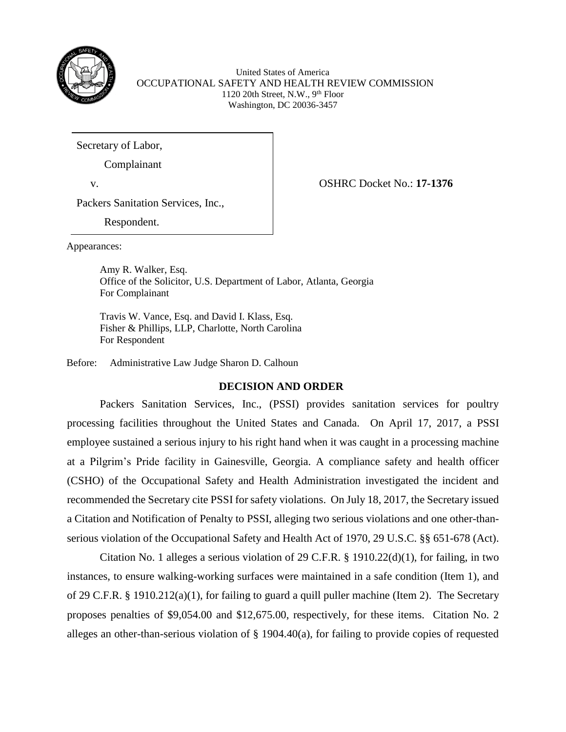

United States of America OCCUPATIONAL SAFETY AND HEALTH REVIEW COMMISSION 1120 20th Street, N.W.,  $9<sup>th</sup>$  Floor Washington, DC 20036-3457

Secretary of Labor,

Complainant

v. OSHRC Docket No.: **17-1376**

Packers Sanitation Services, Inc.,

Respondent.

Appearances:

Amy R. Walker, Esq. Office of the Solicitor, U.S. Department of Labor, Atlanta, Georgia For Complainant

Travis W. Vance, Esq. and David I. Klass, Esq. Fisher & Phillips, LLP, Charlotte, North Carolina For Respondent

Before: Administrative Law Judge Sharon D. Calhoun

# **DECISION AND ORDER**

Packers Sanitation Services, Inc., (PSSI) provides sanitation services for poultry processing facilities throughout the United States and Canada. On April 17, 2017, a PSSI employee sustained a serious injury to his right hand when it was caught in a processing machine at a Pilgrim's Pride facility in Gainesville, Georgia. A compliance safety and health officer (CSHO) of the Occupational Safety and Health Administration investigated the incident and recommended the Secretary cite PSSI for safety violations. On July 18, 2017, the Secretary issued a Citation and Notification of Penalty to PSSI, alleging two serious violations and one other-thanserious violation of the Occupational Safety and Health Act of 1970, 29 U.S.C. §§ 651-678 (Act).

Citation No. 1 alleges a serious violation of 29 C.F.R. § 1910.22(d)(1), for failing, in two instances, to ensure walking-working surfaces were maintained in a safe condition (Item 1), and of 29 C.F.R. § 1910.212(a)(1), for failing to guard a quill puller machine (Item 2). The Secretary proposes penalties of \$9,054.00 and \$12,675.00, respectively, for these items. Citation No. 2 alleges an other-than-serious violation of § 1904.40(a), for failing to provide copies of requested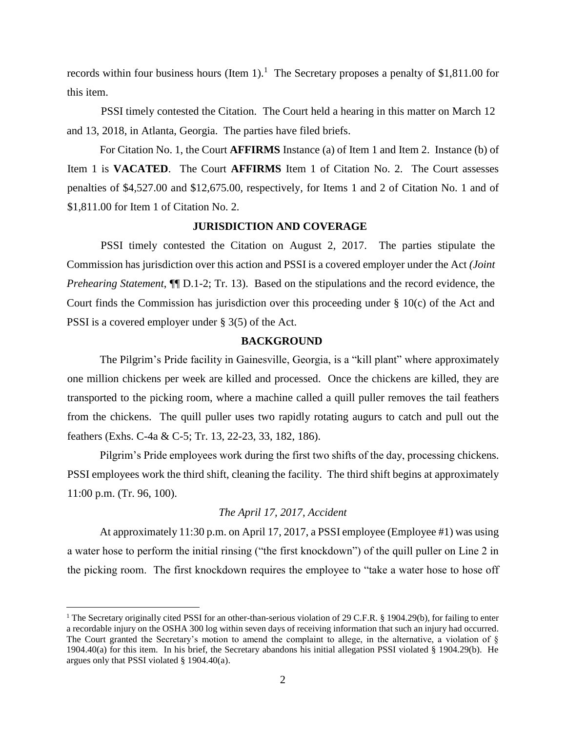records within four business hours (Item  $1$ ).<sup>1</sup> The Secretary proposes a penalty of \$1,811.00 for this item.

PSSI timely contested the Citation. The Court held a hearing in this matter on March 12 and 13, 2018, in Atlanta, Georgia. The parties have filed briefs.

For Citation No. 1, the Court **AFFIRMS** Instance (a) of Item 1 and Item 2. Instance (b) of Item 1 is **VACATED**. The Court **AFFIRMS** Item 1 of Citation No. 2. The Court assesses penalties of \$4,527.00 and \$12,675.00, respectively, for Items 1 and 2 of Citation No. 1 and of \$1,811.00 for Item 1 of Citation No. 2.

# **JURISDICTION AND COVERAGE**

PSSI timely contested the Citation on August 2, 2017. The parties stipulate the Commission has jurisdiction over this action and PSSI is a covered employer under the Act *(Joint Prehearing Statement*,  $\P$ [D.1-2; Tr. 13). Based on the stipulations and the record evidence, the Court finds the Commission has jurisdiction over this proceeding under § 10(c) of the Act and PSSI is a covered employer under § 3(5) of the Act.

# **BACKGROUND**

The Pilgrim's Pride facility in Gainesville, Georgia, is a "kill plant" where approximately one million chickens per week are killed and processed. Once the chickens are killed, they are transported to the picking room, where a machine called a quill puller removes the tail feathers from the chickens. The quill puller uses two rapidly rotating augurs to catch and pull out the feathers (Exhs. C-4a & C-5; Tr. 13, 22-23, 33, 182, 186).

Pilgrim's Pride employees work during the first two shifts of the day, processing chickens. PSSI employees work the third shift, cleaning the facility. The third shift begins at approximately 11:00 p.m. (Tr. 96, 100).

# *The April 17, 2017, Accident*

At approximately 11:30 p.m. on April 17, 2017, a PSSI employee (Employee #1) was using a water hose to perform the initial rinsing ("the first knockdown") of the quill puller on Line 2 in the picking room. The first knockdown requires the employee to "take a water hose to hose off

 $\overline{a}$ 

<sup>&</sup>lt;sup>1</sup> The Secretary originally cited PSSI for an other-than-serious violation of 29 C.F.R. § 1904.29(b), for failing to enter a recordable injury on the OSHA 300 log within seven days of receiving information that such an injury had occurred. The Court granted the Secretary's motion to amend the complaint to allege, in the alternative, a violation of § 1904.40(a) for this item. In his brief, the Secretary abandons his initial allegation PSSI violated § 1904.29(b). He argues only that PSSI violated § 1904.40(a).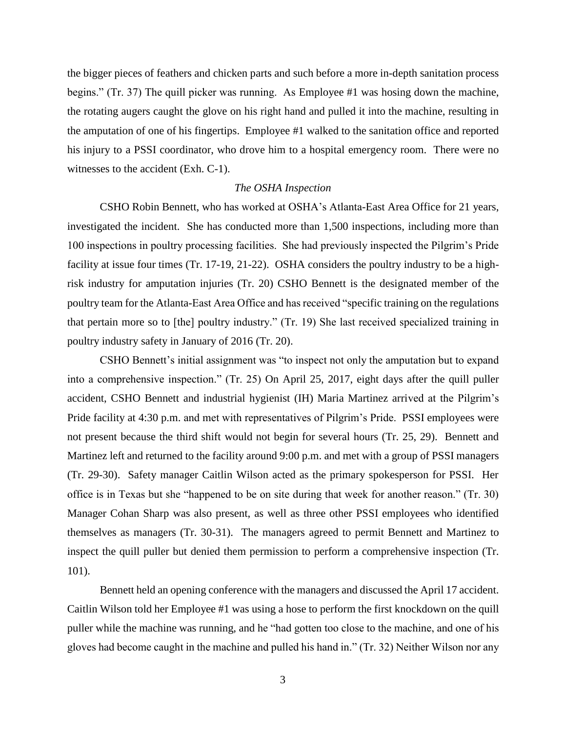the bigger pieces of feathers and chicken parts and such before a more in-depth sanitation process begins." (Tr. 37) The quill picker was running. As Employee #1 was hosing down the machine, the rotating augers caught the glove on his right hand and pulled it into the machine, resulting in the amputation of one of his fingertips. Employee #1 walked to the sanitation office and reported his injury to a PSSI coordinator, who drove him to a hospital emergency room. There were no witnesses to the accident (Exh. C-1).

# *The OSHA Inspection*

CSHO Robin Bennett, who has worked at OSHA's Atlanta-East Area Office for 21 years, investigated the incident. She has conducted more than 1,500 inspections, including more than 100 inspections in poultry processing facilities. She had previously inspected the Pilgrim's Pride facility at issue four times (Tr. 17-19, 21-22). OSHA considers the poultry industry to be a highrisk industry for amputation injuries (Tr. 20) CSHO Bennett is the designated member of the poultry team for the Atlanta-East Area Office and has received "specific training on the regulations that pertain more so to [the] poultry industry." (Tr. 19) She last received specialized training in poultry industry safety in January of 2016 (Tr. 20).

CSHO Bennett's initial assignment was "to inspect not only the amputation but to expand into a comprehensive inspection." (Tr. 25) On April 25, 2017, eight days after the quill puller accident, CSHO Bennett and industrial hygienist (IH) Maria Martinez arrived at the Pilgrim's Pride facility at 4:30 p.m. and met with representatives of Pilgrim's Pride. PSSI employees were not present because the third shift would not begin for several hours (Tr. 25, 29). Bennett and Martinez left and returned to the facility around 9:00 p.m. and met with a group of PSSI managers (Tr. 29-30). Safety manager Caitlin Wilson acted as the primary spokesperson for PSSI. Her office is in Texas but she "happened to be on site during that week for another reason." (Tr. 30) Manager Cohan Sharp was also present, as well as three other PSSI employees who identified themselves as managers (Tr. 30-31). The managers agreed to permit Bennett and Martinez to inspect the quill puller but denied them permission to perform a comprehensive inspection (Tr. 101).

Bennett held an opening conference with the managers and discussed the April 17 accident. Caitlin Wilson told her Employee #1 was using a hose to perform the first knockdown on the quill puller while the machine was running, and he "had gotten too close to the machine, and one of his gloves had become caught in the machine and pulled his hand in." (Tr. 32) Neither Wilson nor any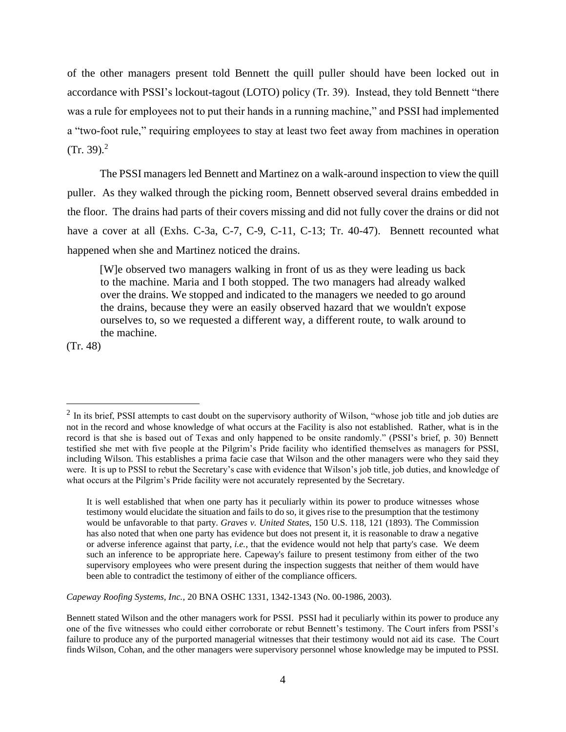of the other managers present told Bennett the quill puller should have been locked out in accordance with PSSI's lockout-tagout (LOTO) policy (Tr. 39). Instead, they told Bennett "there was a rule for employees not to put their hands in a running machine," and PSSI had implemented a "two-foot rule," requiring employees to stay at least two feet away from machines in operation  $(Tr, 39)^2$ 

The PSSI managers led Bennett and Martinez on a walk-around inspection to view the quill puller. As they walked through the picking room, Bennett observed several drains embedded in the floor. The drains had parts of their covers missing and did not fully cover the drains or did not have a cover at all (Exhs. C-3a, C-7, C-9, C-11, C-13; Tr. 40-47). Bennett recounted what happened when she and Martinez noticed the drains.

[W]e observed two managers walking in front of us as they were leading us back to the machine. Maria and I both stopped. The two managers had already walked over the drains. We stopped and indicated to the managers we needed to go around the drains, because they were an easily observed hazard that we wouldn't expose ourselves to, so we requested a different way, a different route, to walk around to the machine.

(Tr. 48)

 $\overline{a}$ 

*Capeway Roofing Systems, Inc.,* 20 BNA OSHC 1331, 1342-1343 (No. 00-1986, 2003).

 $2$  In its brief, PSSI attempts to cast doubt on the supervisory authority of Wilson, "whose job title and job duties are not in the record and whose knowledge of what occurs at the Facility is also not established. Rather, what is in the record is that she is based out of Texas and only happened to be onsite randomly." (PSSI's brief, p. 30) Bennett testified she met with five people at the Pilgrim's Pride facility who identified themselves as managers for PSSI, including Wilson. This establishes a prima facie case that Wilson and the other managers were who they said they were. It is up to PSSI to rebut the Secretary's case with evidence that Wilson's job title, job duties, and knowledge of what occurs at the Pilgrim's Pride facility were not accurately represented by the Secretary.

It is well established that when one party has it peculiarly within its power to produce witnesses whose testimony would elucidate the situation and fails to do so, it gives rise to the presumption that the testimony would be unfavorable to that party. *Graves v. United States*, 150 U.S. 118, 121 (1893). The Commission has also noted that when one party has evidence but does not present it, it is reasonable to draw a negative or adverse inference against that party, *i.e.*, that the evidence would not help that party's case. We deem such an inference to be appropriate here. Capeway's failure to present testimony from either of the two supervisory employees who were present during the inspection suggests that neither of them would have been able to contradict the testimony of either of the compliance officers.

Bennett stated Wilson and the other managers work for PSSI. PSSI had it peculiarly within its power to produce any one of the five witnesses who could either corroborate or rebut Bennett's testimony. The Court infers from PSSI's failure to produce any of the purported managerial witnesses that their testimony would not aid its case. The Court finds Wilson, Cohan, and the other managers were supervisory personnel whose knowledge may be imputed to PSSI.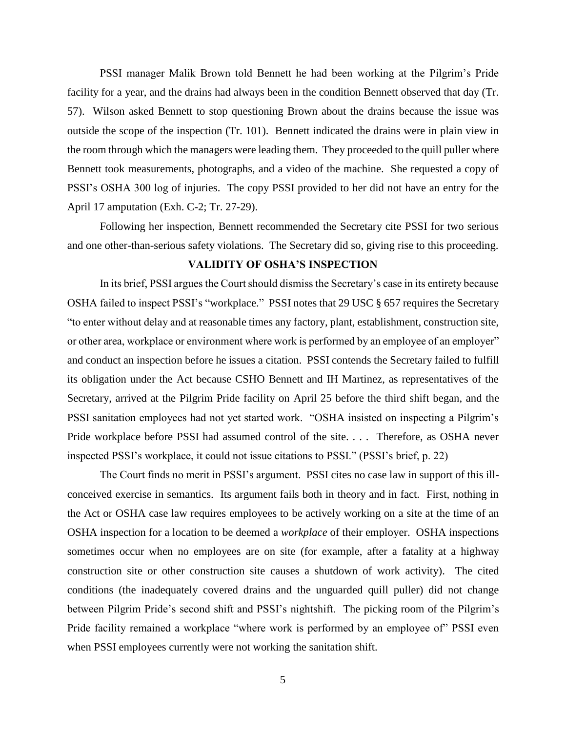PSSI manager Malik Brown told Bennett he had been working at the Pilgrim's Pride facility for a year, and the drains had always been in the condition Bennett observed that day (Tr. 57). Wilson asked Bennett to stop questioning Brown about the drains because the issue was outside the scope of the inspection (Tr. 101). Bennett indicated the drains were in plain view in the room through which the managers were leading them. They proceeded to the quill puller where Bennett took measurements, photographs, and a video of the machine. She requested a copy of PSSI's OSHA 300 log of injuries. The copy PSSI provided to her did not have an entry for the April 17 amputation (Exh. C-2; Tr. 27-29).

Following her inspection, Bennett recommended the Secretary cite PSSI for two serious and one other-than-serious safety violations. The Secretary did so, giving rise to this proceeding.

# **VALIDITY OF OSHA'S INSPECTION**

In its brief, PSSI argues the Court should dismiss the Secretary's case in its entirety because OSHA failed to inspect PSSI's "workplace." PSSI notes that 29 USC § 657 requires the Secretary "to enter without delay and at reasonable times any factory, plant, establishment, construction site, or other area, workplace or environment where work is performed by an employee of an employer" and conduct an inspection before he issues a citation. PSSI contends the Secretary failed to fulfill its obligation under the Act because CSHO Bennett and IH Martinez, as representatives of the Secretary, arrived at the Pilgrim Pride facility on April 25 before the third shift began, and the PSSI sanitation employees had not yet started work. "OSHA insisted on inspecting a Pilgrim's Pride workplace before PSSI had assumed control of the site. . . . Therefore, as OSHA never inspected PSSI's workplace, it could not issue citations to PSSI." (PSSI's brief, p. 22)

The Court finds no merit in PSSI's argument. PSSI cites no case law in support of this illconceived exercise in semantics. Its argument fails both in theory and in fact. First, nothing in the Act or OSHA case law requires employees to be actively working on a site at the time of an OSHA inspection for a location to be deemed a *workplace* of their employer. OSHA inspections sometimes occur when no employees are on site (for example, after a fatality at a highway construction site or other construction site causes a shutdown of work activity). The cited conditions (the inadequately covered drains and the unguarded quill puller) did not change between Pilgrim Pride's second shift and PSSI's nightshift. The picking room of the Pilgrim's Pride facility remained a workplace "where work is performed by an employee of" PSSI even when PSSI employees currently were not working the sanitation shift.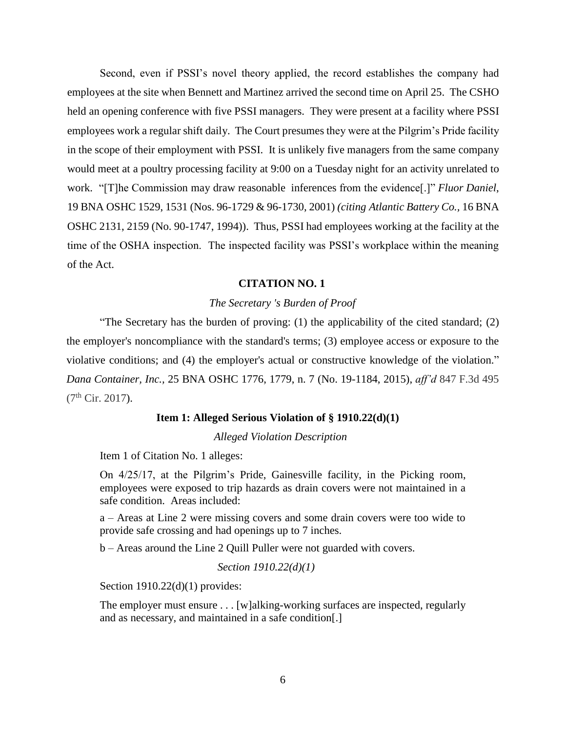Second, even if PSSI's novel theory applied, the record establishes the company had employees at the site when Bennett and Martinez arrived the second time on April 25. The CSHO held an opening conference with five PSSI managers. They were present at a facility where PSSI employees work a regular shift daily. The Court presumes they were at the Pilgrim's Pride facility in the scope of their employment with PSSI. It is unlikely five managers from the same company would meet at a poultry processing facility at 9:00 on a Tuesday night for an activity unrelated to work. "[T]he Commission may draw reasonable inferences from the evidence[.]" *Fluor [Daniel](https://1.next.westlaw.com/Link/Document/FullText?findType=Y&serNum=2002105377&pubNum=0003227&originatingDoc=I869526ef308e11e7b92bf4314c15140f&refType=CA&fi=co_pp_sp_3227_1531&originationContext=document&transitionType=DocumentItem&contextData=(sc.Search)#co_pp_sp_3227_1531)*, [19 BNA OSHC 1529, 1531 \(Nos. 96-1729 & 96-1730,](https://1.next.westlaw.com/Link/Document/FullText?findType=Y&serNum=2002105377&pubNum=0003227&originatingDoc=I869526ef308e11e7b92bf4314c15140f&refType=CA&fi=co_pp_sp_3227_1531&originationContext=document&transitionType=DocumentItem&contextData=(sc.Search)#co_pp_sp_3227_1531) 2001) *(citing Atlantic Battery Co.,* [16 BNA](https://1.next.westlaw.com/Link/Document/FullText?findType=Y&serNum=1994530712&pubNum=0003227&originatingDoc=I869526ef308e11e7b92bf4314c15140f&refType=CA&fi=co_pp_sp_3227_2159&originationContext=document&transitionType=DocumentItem&contextData=(sc.Search)#co_pp_sp_3227_2159)  [OSHC 2131, 2159 \(No. 90-1747,](https://1.next.westlaw.com/Link/Document/FullText?findType=Y&serNum=1994530712&pubNum=0003227&originatingDoc=I869526ef308e11e7b92bf4314c15140f&refType=CA&fi=co_pp_sp_3227_2159&originationContext=document&transitionType=DocumentItem&contextData=(sc.Search)#co_pp_sp_3227_2159) 1994)). Thus, PSSI had employees working at the facility at the time of the OSHA inspection. The inspected facility was PSSI's workplace within the meaning of the Act.

#### **CITATION NO. 1**

### *The Secretary 's Burden of Proof*

"The Secretary has the burden of proving: (1) the applicability of the cited standard; (2) the employer's noncompliance with the standard's terms; (3) employee access or exposure to the violative conditions; and (4) the employer's actual or constructive knowledge of the violation." *Dana Container, Inc.,* 25 BNA OSHC 1776, 1779, n. 7 (No. 19-1184, 2015), *aff'd* 847 F.3d 495  $(7<sup>th</sup> Cir. 2017)$ .

#### **Item 1: Alleged Serious Violation of § 1910.22(d)(1)**

*Alleged Violation Description*

Item 1 of Citation No. 1 alleges:

On 4/25/17, at the Pilgrim's Pride, Gainesville facility, in the Picking room, employees were exposed to trip hazards as drain covers were not maintained in a safe condition. Areas included:

a – Areas at Line 2 were missing covers and some drain covers were too wide to provide safe crossing and had openings up to 7 inches.

b – Areas around the Line 2 Quill Puller were not guarded with covers.

*Section 1910.22(d)(1)*

Section 1910.22(d)(1) provides:

The employer must ensure . . . [w]alking-working surfaces are inspected, regularly and as necessary, and maintained in a safe condition[.]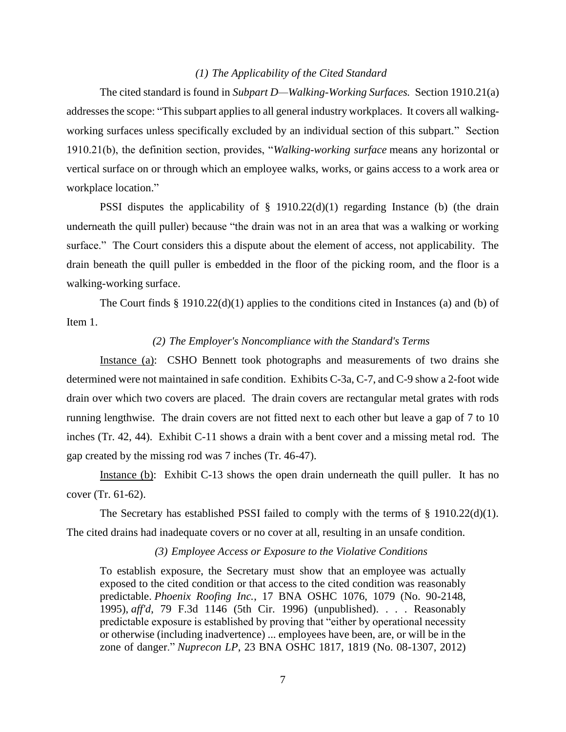# *(1) The Applicability of the Cited Standard*

The cited standard is found in *Subpart D—Walking-Working Surfaces.* Section 1910.21(a) addresses the scope: "This subpart applies to all general industry workplaces. It covers all walkingworking surfaces unless specifically excluded by an individual section of this subpart." Section 1910.21(b), the definition section, provides, "*Walking-working surface* means any horizontal or vertical surface on or through which an employee walks, works, or gains access to a work area or workplace location."

PSSI disputes the applicability of § 1910.22(d)(1) regarding Instance (b) (the drain underneath the quill puller) because "the drain was not in an area that was a walking or working surface." The Court considers this a dispute about the element of access, not applicability. The drain beneath the quill puller is embedded in the floor of the picking room, and the floor is a walking-working surface.

The Court finds § 1910.22(d)(1) applies to the conditions cited in Instances (a) and (b) of Item 1.

### *(2) The Employer's Noncompliance with the Standard's Terms*

Instance (a): CSHO Bennett took photographs and measurements of two drains she determined were not maintained in safe condition. Exhibits C-3a, C-7, and C-9 show a 2-foot wide drain over which two covers are placed. The drain covers are rectangular metal grates with rods running lengthwise. The drain covers are not fitted next to each other but leave a gap of 7 to 10 inches (Tr. 42, 44). Exhibit C-11 shows a drain with a bent cover and a missing metal rod. The gap created by the missing rod was 7 inches (Tr. 46-47).

Instance (b): Exhibit C-13 shows the open drain underneath the quill puller. It has no cover (Tr. 61-62).

The Secretary has established PSSI failed to comply with the terms of § 1910.22(d)(1). The cited drains had inadequate covers or no cover at all, resulting in an unsafe condition.

#### *(3) Employee Access or Exposure to the Violative Conditions*

To establish exposure, the Secretary must show that an employee was actually exposed to the cited condition or that access to the cited condition was reasonably predictable. *Phoenix Roofing Inc.*, 17 BNA OSHC 1076, 1079 (No. 90-2148, 1995), *aff'd*, 79 F.3d 1146 (5th Cir. 1996) (unpublished). . . . Reasonably predictable exposure is established by proving that "either by operational necessity or otherwise (including inadvertence) ... employees have been, are, or will be in the zone of danger." *Nuprecon LP*, 23 BNA OSHC 1817, 1819 (No. 08-1307, 2012)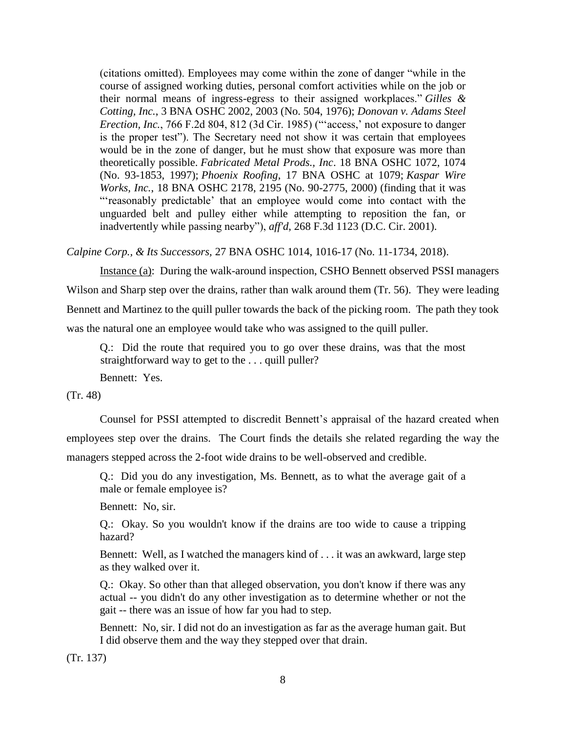(citations omitted). Employees may come within the zone of danger "while in the course of assigned working duties, personal comfort activities while on the job or their normal means of ingress-egress to their assigned workplaces." *Gilles & Cotting, Inc.*, 3 BNA OSHC 2002, 2003 (No. 504, 1976); *Donovan v. Adams Steel Erection, Inc.*, 766 F.2d 804, 812 (3d Cir. 1985) ("'access,' not exposure to danger is the proper test"). The Secretary need not show it was certain that employees would be in the zone of danger, but he must show that exposure was more than theoretically possible. *Fabricated Metal Prods., Inc*. 18 BNA OSHC 1072, 1074 (No. 93-1853, 1997); *Phoenix Roofing*, 17 BNA OSHC at 1079; *Kaspar Wire Works, Inc.*, 18 BNA OSHC 2178, 2195 (No. 90-2775, 2000) (finding that it was "'reasonably predictable' that an employee would come into contact with the unguarded belt and pulley either while attempting to reposition the fan, or inadvertently while passing nearby"), *aff'd*, 268 F.3d 1123 (D.C. Cir. 2001).

*Calpine Corp., & Its Successors,* 27 BNA OSHC 1014, 1016-17 (No. 11-1734, 2018).

Instance (a): During the walk-around inspection, CSHO Bennett observed PSSI managers Wilson and Sharp step over the drains, rather than walk around them (Tr. 56). They were leading Bennett and Martinez to the quill puller towards the back of the picking room. The path they took was the natural one an employee would take who was assigned to the quill puller.

Q.: Did the route that required you to go over these drains, was that the most straightforward way to get to the . . . quill puller?

Bennett: Yes.

(Tr. 48)

Counsel for PSSI attempted to discredit Bennett's appraisal of the hazard created when employees step over the drains. The Court finds the details she related regarding the way the managers stepped across the 2-foot wide drains to be well-observed and credible.

Q.: Did you do any investigation, Ms. Bennett, as to what the average gait of a male or female employee is?

Bennett: No, sir.

Q.: Okay. So you wouldn't know if the drains are too wide to cause a tripping hazard?

Bennett: Well, as I watched the managers kind of . . . it was an awkward, large step as they walked over it.

Q.: Okay. So other than that alleged observation, you don't know if there was any actual -- you didn't do any other investigation as to determine whether or not the gait -- there was an issue of how far you had to step.

Bennett: No, sir. I did not do an investigation as far as the average human gait. But I did observe them and the way they stepped over that drain.

(Tr. 137)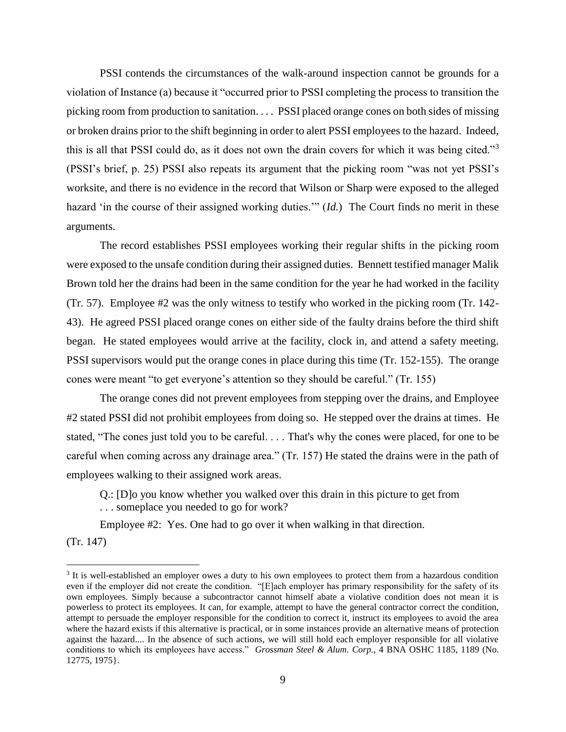PSSI contends the circumstances of the walk-around inspection cannot be grounds for a violation of Instance (a) because it "occurred prior to PSSI completing the process to transition the picking room from production to sanitation. . . . PSSI placed orange cones on both sides of missing or broken drains prior to the shift beginning in order to alert PSSI employees to the hazard. Indeed, this is all that PSSI could do, as it does not own the drain covers for which it was being cited."<sup>3</sup> (PSSI's brief, p. 25) PSSI also repeats its argument that the picking room "was not yet PSSI's worksite, and there is no evidence in the record that Wilson or Sharp were exposed to the alleged hazard 'in the course of their assigned working duties.'" (*Id.*) The Court finds no merit in these arguments.

The record establishes PSSI employees working their regular shifts in the picking room were exposed to the unsafe condition during their assigned duties. Bennett testified manager Malik Brown told her the drains had been in the same condition for the year he had worked in the facility (Tr. 57). Employee #2 was the only witness to testify who worked in the picking room (Tr. 142- 43). He agreed PSSI placed orange cones on either side of the faulty drains before the third shift began. He stated employees would arrive at the facility, clock in, and attend a safety meeting. PSSI supervisors would put the orange cones in place during this time (Tr. 152-155). The orange cones were meant "to get everyone's attention so they should be careful." (Tr. 155)

The orange cones did not prevent employees from stepping over the drains, and Employee #2 stated PSSI did not prohibit employees from doing so. He stepped over the drains at times. He stated, "The cones just told you to be careful. . . . That's why the cones were placed, for one to be careful when coming across any drainage area." (Tr. 157) He stated the drains were in the path of employees walking to their assigned work areas.

Q.: [D]o you know whether you walked over this drain in this picture to get from . . . someplace you needed to go for work?

Employee #2: Yes. One had to go over it when walking in that direction.

(Tr. 147)

 $\overline{a}$ 

<sup>&</sup>lt;sup>3</sup> It is well-established an employer owes a duty to his own employees to protect them from a hazardous condition even if the employer did not create the condition. "[E]ach employer has primary responsibility for the safety of its own employees. Simply because a subcontractor cannot himself abate a violative condition does not mean it is powerless to protect its employees. It can, for example, attempt to have the general contractor correct the condition, attempt to persuade the employer responsible for the condition to correct it, instruct its employees to avoid the area where the hazard exists if this alternative is practical, or in some instances provide an alternative means of protection against the hazard.... In the absence of such actions, we will still hold each employer responsible for all violative conditions to which its employees have access." *Grossman Steel & Alum. Corp.*, 4 BNA OSHC 1185, 1189 (No. 12775, 1975}.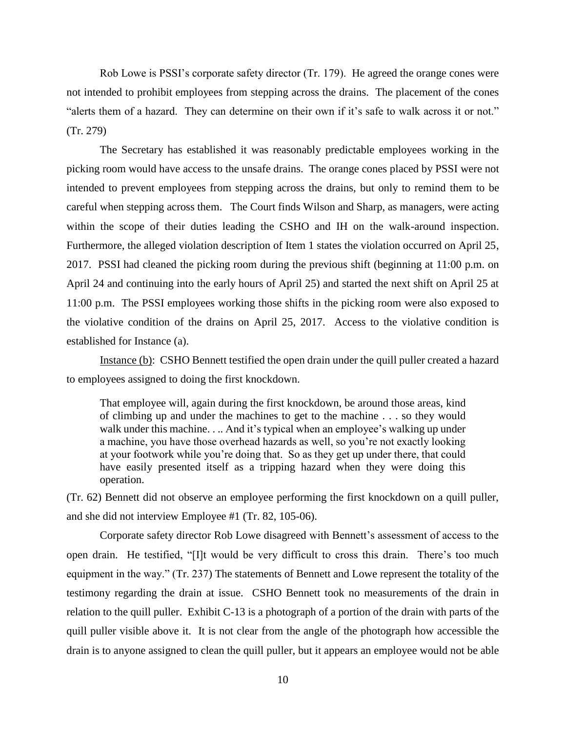Rob Lowe is PSSI's corporate safety director (Tr. 179). He agreed the orange cones were not intended to prohibit employees from stepping across the drains. The placement of the cones "alerts them of a hazard. They can determine on their own if it's safe to walk across it or not." (Tr. 279)

The Secretary has established it was reasonably predictable employees working in the picking room would have access to the unsafe drains. The orange cones placed by PSSI were not intended to prevent employees from stepping across the drains, but only to remind them to be careful when stepping across them. The Court finds Wilson and Sharp, as managers, were acting within the scope of their duties leading the CSHO and IH on the walk-around inspection. Furthermore, the alleged violation description of Item 1 states the violation occurred on April 25, 2017. PSSI had cleaned the picking room during the previous shift (beginning at 11:00 p.m. on April 24 and continuing into the early hours of April 25) and started the next shift on April 25 at 11:00 p.m. The PSSI employees working those shifts in the picking room were also exposed to the violative condition of the drains on April 25, 2017. Access to the violative condition is established for Instance (a).

Instance (b): CSHO Bennett testified the open drain under the quill puller created a hazard to employees assigned to doing the first knockdown.

That employee will, again during the first knockdown, be around those areas, kind of climbing up and under the machines to get to the machine . . . so they would walk under this machine. . .. And it's typical when an employee's walking up under a machine, you have those overhead hazards as well, so you're not exactly looking at your footwork while you're doing that. So as they get up under there, that could have easily presented itself as a tripping hazard when they were doing this operation.

(Tr. 62) Bennett did not observe an employee performing the first knockdown on a quill puller, and she did not interview Employee #1 (Tr. 82, 105-06).

Corporate safety director Rob Lowe disagreed with Bennett's assessment of access to the open drain. He testified, "[I]t would be very difficult to cross this drain. There's too much equipment in the way." (Tr. 237) The statements of Bennett and Lowe represent the totality of the testimony regarding the drain at issue. CSHO Bennett took no measurements of the drain in relation to the quill puller. Exhibit C-13 is a photograph of a portion of the drain with parts of the quill puller visible above it. It is not clear from the angle of the photograph how accessible the drain is to anyone assigned to clean the quill puller, but it appears an employee would not be able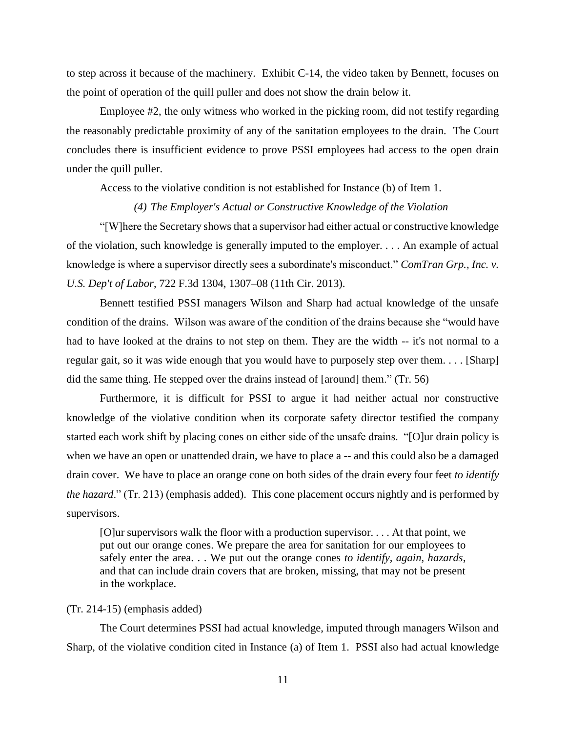to step across it because of the machinery. Exhibit C-14, the video taken by Bennett, focuses on the point of operation of the quill puller and does not show the drain below it.

Employee #2, the only witness who worked in the picking room, did not testify regarding the reasonably predictable proximity of any of the sanitation employees to the drain. The Court concludes there is insufficient evidence to prove PSSI employees had access to the open drain under the quill puller.

Access to the violative condition is not established for Instance (b) of Item 1.

#### *(4) The Employer's Actual or Constructive Knowledge of the Violation*

"[W]here the Secretary shows that a supervisor had either actual or constructive knowledge of the violation, such knowledge is generally imputed to the employer. . . . An example of actual knowledge is where a supervisor directly sees a subordinate's misconduct." *ComTran Grp., Inc. v. U.S. Dep't of Labor*, 722 F.3d 1304, 1307–08 (11th Cir. 2013).

Bennett testified PSSI managers Wilson and Sharp had actual knowledge of the unsafe condition of the drains. Wilson was aware of the condition of the drains because she "would have had to have looked at the drains to not step on them. They are the width -- it's not normal to a regular gait, so it was wide enough that you would have to purposely step over them. . . . [Sharp] did the same thing. He stepped over the drains instead of [around] them." (Tr. 56)

Furthermore, it is difficult for PSSI to argue it had neither actual nor constructive knowledge of the violative condition when its corporate safety director testified the company started each work shift by placing cones on either side of the unsafe drains. "[O]ur drain policy is when we have an open or unattended drain, we have to place a -- and this could also be a damaged drain cover. We have to place an orange cone on both sides of the drain every four feet *to identify the hazard*." (Tr. 213) (emphasis added). This cone placement occurs nightly and is performed by supervisors.

[O]ur supervisors walk the floor with a production supervisor. . . . At that point, we put out our orange cones. We prepare the area for sanitation for our employees to safely enter the area. . . We put out the orange cones *to identify, again, hazards*, and that can include drain covers that are broken, missing, that may not be present in the workplace.

### (Tr. 214-15) (emphasis added)

The Court determines PSSI had actual knowledge, imputed through managers Wilson and Sharp, of the violative condition cited in Instance (a) of Item 1. PSSI also had actual knowledge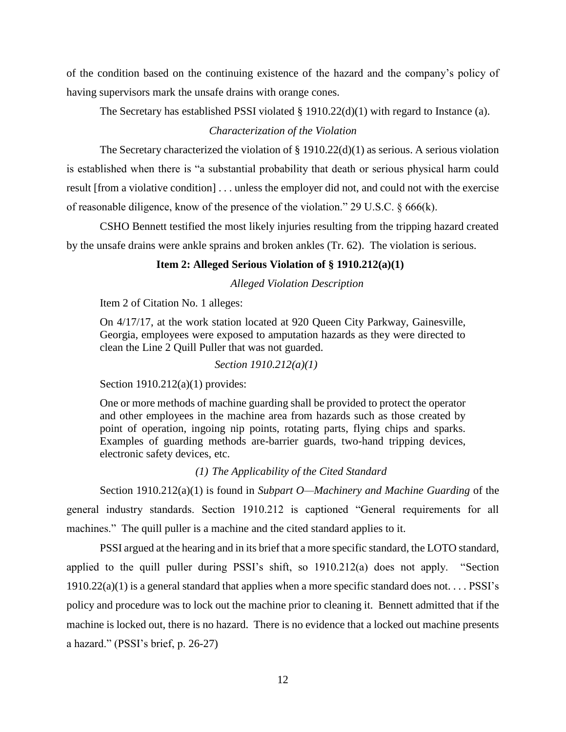of the condition based on the continuing existence of the hazard and the company's policy of having supervisors mark the unsafe drains with orange cones.

The Secretary has established PSSI violated § 1910.22(d)(1) with regard to Instance (a).

# *Characterization of the Violation*

The Secretary characterized the violation of § 1910.22(d)(1) as serious. A serious violation is established when there is "a substantial probability that death or serious physical harm could result [from a violative condition] . . . unless the employer did not, and could not with the exercise of reasonable diligence, know of the presence of the violation." 29 U.S.C. § 666(k).

CSHO Bennett testified the most likely injuries resulting from the tripping hazard created by the unsafe drains were ankle sprains and broken ankles (Tr. 62). The violation is serious.

# **Item 2: Alleged Serious Violation of § 1910.212(a)(1)**

*Alleged Violation Description*

Item 2 of Citation No. 1 alleges:

On 4/17/17, at the work station located at 920 Queen City Parkway, Gainesville, Georgia, employees were exposed to amputation hazards as they were directed to clean the Line 2 Quill Puller that was not guarded.

*Section 1910.212(a)(1)* 

Section 1910.212(a)(1) provides:

One or more methods of machine guarding shall be provided to protect the operator and other employees in the machine area from hazards such as those created by point of operation, ingoing nip points, rotating parts, flying chips and sparks. Examples of guarding methods are-barrier guards, two-hand tripping devices, electronic safety devices, etc.

*(1) The Applicability of the Cited Standard*

Section 1910.212(a)(1) is found in *Subpart O—Machinery and Machine Guarding* of the general industry standards. Section 1910.212 is captioned "General requirements for all machines." The quill puller is a machine and the cited standard applies to it.

PSSI argued at the hearing and in its brief that a more specific standard, the LOTO standard, applied to the quill puller during PSSI's shift, so 1910.212(a) does not apply. "Section  $1910.22(a)(1)$  is a general standard that applies when a more specific standard does not.... PSSI's policy and procedure was to lock out the machine prior to cleaning it. Bennett admitted that if the machine is locked out, there is no hazard. There is no evidence that a locked out machine presents a hazard." (PSSI's brief, p. 26-27)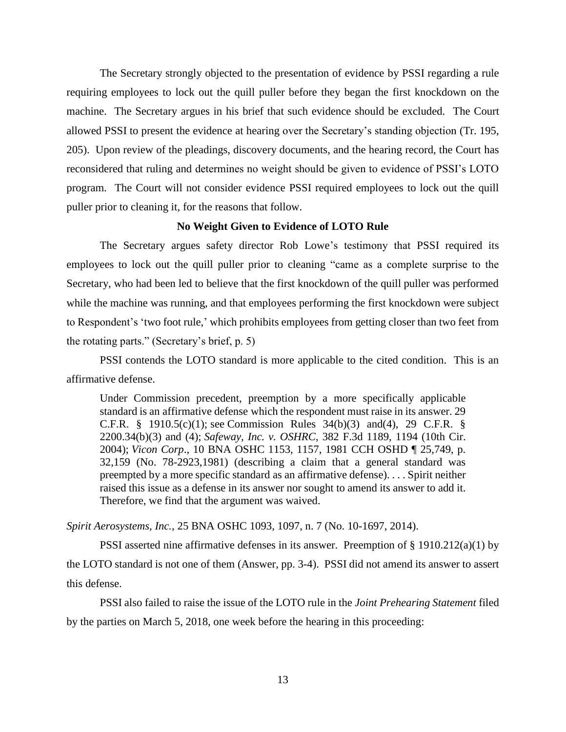The Secretary strongly objected to the presentation of evidence by PSSI regarding a rule requiring employees to lock out the quill puller before they began the first knockdown on the machine. The Secretary argues in his brief that such evidence should be excluded. The Court allowed PSSI to present the evidence at hearing over the Secretary's standing objection (Tr. 195, 205). Upon review of the pleadings, discovery documents, and the hearing record, the Court has reconsidered that ruling and determines no weight should be given to evidence of PSSI's LOTO program. The Court will not consider evidence PSSI required employees to lock out the quill puller prior to cleaning it, for the reasons that follow.

### **No Weight Given to Evidence of LOTO Rule**

The Secretary argues safety director Rob Lowe's testimony that PSSI required its employees to lock out the quill puller prior to cleaning "came as a complete surprise to the Secretary, who had been led to believe that the first knockdown of the quill puller was performed while the machine was running, and that employees performing the first knockdown were subject to Respondent's 'two foot rule,' which prohibits employees from getting closer than two feet from the rotating parts." (Secretary's brief, p. 5)

PSSI contends the LOTO standard is more applicable to the cited condition. This is an affirmative defense.

Under Commission precedent, preemption by a more specifically applicable standard is an affirmative defense which the respondent must raise in its answer. 29 C.F.R. § 1910.5(c)(1); see Commission Rules 34(b)(3) and(4), 29 C.F.R. § 2200.34(b)(3) and (4); *Safeway, Inc. v. OSHRC*, 382 F.3d 1189, 1194 (10th Cir. 2004); *Vicon Corp*., 10 BNA OSHC 1153, 1157, 1981 CCH OSHD ¶ 25,749, p. 32,159 (No. 78-2923,1981) (describing a claim that a general standard was preempted by a more specific standard as an affirmative defense). . . . Spirit neither raised this issue as a defense in its answer nor sought to amend its answer to add it. Therefore, we find that the argument was waived.

*Spirit Aerosystems, Inc.,* 25 BNA OSHC 1093, 1097, n. 7 (No. 10-1697, 2014).

PSSI asserted nine affirmative defenses in its answer. Preemption of  $\S$  1910.212(a)(1) by the LOTO standard is not one of them (Answer, pp. 3-4). PSSI did not amend its answer to assert this defense.

PSSI also failed to raise the issue of the LOTO rule in the *Joint Prehearing Statement* filed by the parties on March 5, 2018, one week before the hearing in this proceeding: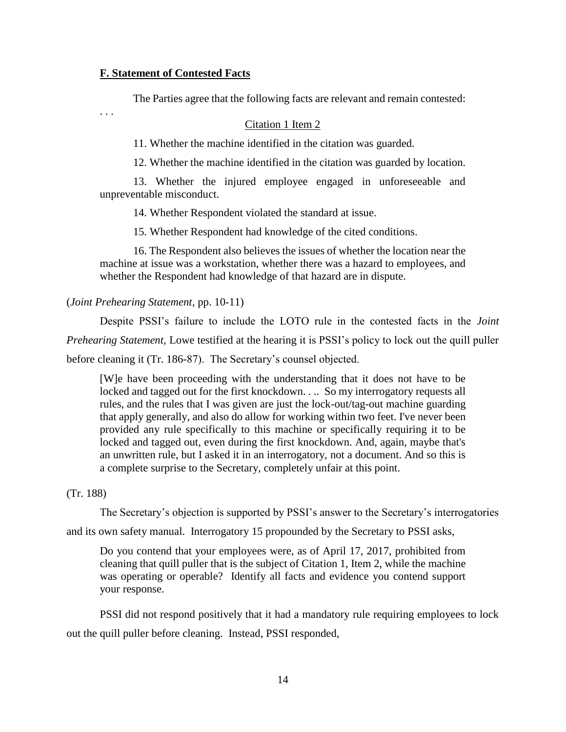# **F. Statement of Contested Facts**

. . .

The Parties agree that the following facts are relevant and remain contested:

#### Citation 1 Item 2

11. Whether the machine identified in the citation was guarded.

12. Whether the machine identified in the citation was guarded by location.

13. Whether the injured employee engaged in unforeseeable and unpreventable misconduct.

14. Whether Respondent violated the standard at issue.

15. Whether Respondent had knowledge of the cited conditions.

16. The Respondent also believes the issues of whether the location near the machine at issue was a workstation, whether there was a hazard to employees, and whether the Respondent had knowledge of that hazard are in dispute.

(*Joint Prehearing Statement*, pp. 10-11)

Despite PSSI's failure to include the LOTO rule in the contested facts in the *Joint Prehearing Statement,* Lowe testified at the hearing it is PSSI's policy to lock out the quill puller before cleaning it (Tr. 186-87). The Secretary's counsel objected.

[W]e have been proceeding with the understanding that it does not have to be locked and tagged out for the first knockdown. . .. So my interrogatory requests all rules, and the rules that I was given are just the lock-out/tag-out machine guarding that apply generally, and also do allow for working within two feet. I've never been provided any rule specifically to this machine or specifically requiring it to be locked and tagged out, even during the first knockdown. And, again, maybe that's an unwritten rule, but I asked it in an interrogatory, not a document. And so this is a complete surprise to the Secretary, completely unfair at this point.

#### (Tr. 188)

The Secretary's objection is supported by PSSI's answer to the Secretary's interrogatories

and its own safety manual. Interrogatory 15 propounded by the Secretary to PSSI asks,

Do you contend that your employees were, as of April 17, 2017, prohibited from cleaning that quill puller that is the subject of Citation 1, Item 2, while the machine was operating or operable? Identify all facts and evidence you contend support your response.

PSSI did not respond positively that it had a mandatory rule requiring employees to lock out the quill puller before cleaning. Instead, PSSI responded,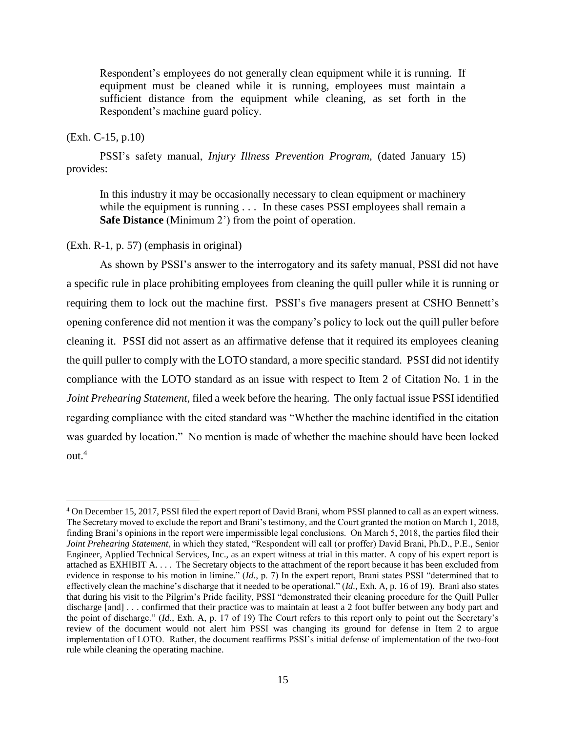Respondent's employees do not generally clean equipment while it is running. If equipment must be cleaned while it is running, employees must maintain a sufficient distance from the equipment while cleaning, as set forth in the Respondent's machine guard policy.

# (Exh. C-15, p.10)

 $\overline{a}$ 

PSSI's safety manual, *Injury Illness Prevention Program,* (dated January 15) provides:

In this industry it may be occasionally necessary to clean equipment or machinery while the equipment is running . . . In these cases PSSI employees shall remain a **Safe Distance** (Minimum 2') from the point of operation.

# (Exh. R-1, p. 57) (emphasis in original)

As shown by PSSI's answer to the interrogatory and its safety manual, PSSI did not have a specific rule in place prohibiting employees from cleaning the quill puller while it is running or requiring them to lock out the machine first. PSSI's five managers present at CSHO Bennett's opening conference did not mention it was the company's policy to lock out the quill puller before cleaning it. PSSI did not assert as an affirmative defense that it required its employees cleaning the quill puller to comply with the LOTO standard, a more specific standard. PSSI did not identify compliance with the LOTO standard as an issue with respect to Item 2 of Citation No. 1 in the *Joint Prehearing Statement*, filed a week before the hearing. The only factual issue PSSI identified regarding compliance with the cited standard was "Whether the machine identified in the citation was guarded by location." No mention is made of whether the machine should have been locked out.<sup>4</sup>

<sup>4</sup> On December 15, 2017, PSSI filed the expert report of David Brani, whom PSSI planned to call as an expert witness. The Secretary moved to exclude the report and Brani's testimony, and the Court granted the motion on March 1, 2018, finding Brani's opinions in the report were impermissible legal conclusions. On March 5, 2018, the parties filed their *Joint Prehearing Statement*, in which they stated, "Respondent will call (or proffer) David Brani, Ph.D., P.E., Senior Engineer, Applied Technical Services, Inc., as an expert witness at trial in this matter. A copy of his expert report is attached as EXHIBIT A. . . . The Secretary objects to the attachment of the report because it has been excluded from evidence in response to his motion in limine." (*Id.*, p. 7) In the expert report, Brani states PSSI "determined that to effectively clean the machine's discharge that it needed to be operational." (*Id.,* Exh. A, p. 16 of 19). Brani also states that during his visit to the Pilgrim's Pride facility, PSSI "demonstrated their cleaning procedure for the Quill Puller discharge [and] . . . confirmed that their practice was to maintain at least a 2 foot buffer between any body part and the point of discharge." (*Id.*, Exh. A, p. 17 of 19) The Court refers to this report only to point out the Secretary's review of the document would not alert him PSSI was changing its ground for defense in Item 2 to argue implementation of LOTO. Rather, the document reaffirms PSSI's initial defense of implementation of the two-foot rule while cleaning the operating machine.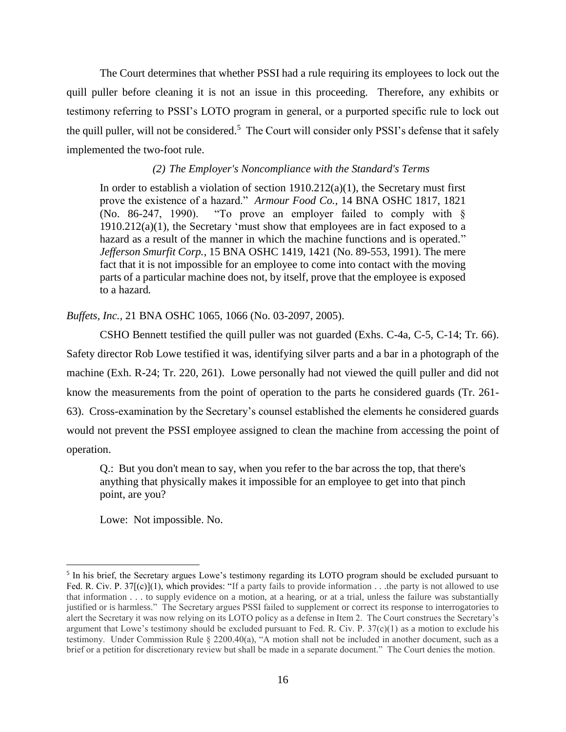The Court determines that whether PSSI had a rule requiring its employees to lock out the quill puller before cleaning it is not an issue in this proceeding. Therefore, any exhibits or testimony referring to PSSI's LOTO program in general, or a purported specific rule to lock out the quill puller, will not be considered.<sup>5</sup> The Court will consider only PSSI's defense that it safely implemented the two-foot rule.

# *(2) The Employer's Noncompliance with the Standard's Terms*

In order to establish a violation of section  $1910.212(a)(1)$ , the Secretary must first prove the existence of a hazard." *Armour Food Co.,* 14 BNA OSHC 1817, 1821 (No. 86-247, 1990). "To prove an employer failed to comply with §  $1910.212(a)(1)$ , the Secretary 'must show that employees are in fact exposed to a hazard as a result of the manner in which the machine functions and is operated." *Jefferson Smurfit Corp.*, 15 BNA OSHC 1419, 1421 (No. 89-553, 1991). The mere fact that it is not impossible for an employee to come into contact with the moving parts of a particular machine does not, by itself, prove that the employee is exposed to a hazard*.*

*Buffets, Inc.,* 21 BNA OSHC 1065, 1066 (No. 03-2097, 2005).

CSHO Bennett testified the quill puller was not guarded (Exhs. C-4a, C-5, C-14; Tr. 66). Safety director Rob Lowe testified it was, identifying silver parts and a bar in a photograph of the machine (Exh. R-24; Tr. 220, 261). Lowe personally had not viewed the quill puller and did not know the measurements from the point of operation to the parts he considered guards (Tr. 261- 63). Cross-examination by the Secretary's counsel established the elements he considered guards would not prevent the PSSI employee assigned to clean the machine from accessing the point of operation.

Q.: But you don't mean to say, when you refer to the bar across the top, that there's anything that physically makes it impossible for an employee to get into that pinch point, are you?

Lowe: Not impossible. No.

 $\overline{a}$ 

<sup>&</sup>lt;sup>5</sup> In his brief, the Secretary argues Lowe's testimony regarding its LOTO program should be excluded pursuant to Fed. R. Civ. P. 37[(c)](1), which provides: "If a party fails to provide information . . .the party is not allowed to use that information . . . to supply evidence on a motion, at a hearing, or at a trial, unless the failure was substantially justified or is harmless." The Secretary argues PSSI failed to supplement or correct its response to interrogatories to alert the Secretary it was now relying on its LOTO policy as a defense in Item 2. The Court construes the Secretary's argument that Lowe's testimony should be excluded pursuant to Fed. R. Civ. P.  $37(c)(1)$  as a motion to exclude his testimony. Under Commission Rule § 2200.40(a), "A motion shall not be included in another document, such as a brief or a petition for discretionary review but shall be made in a separate document." The Court denies the motion.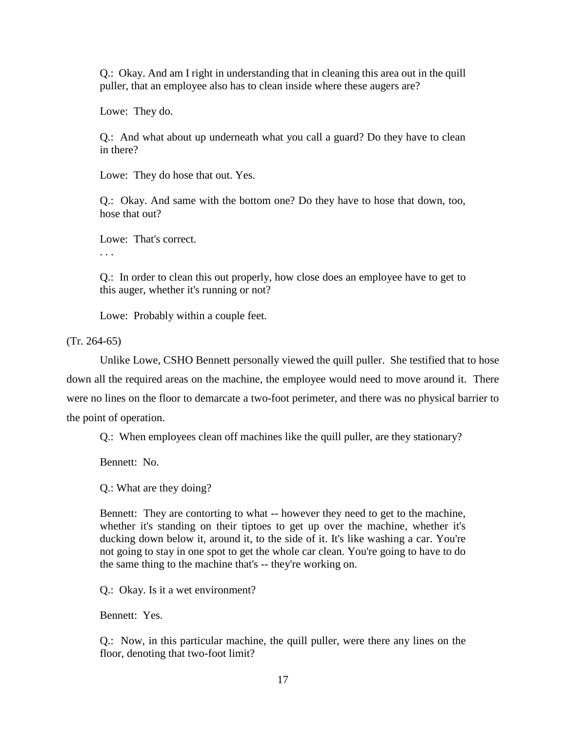Q.: Okay. And am I right in understanding that in cleaning this area out in the quill puller, that an employee also has to clean inside where these augers are?

Lowe: They do.

Q.: And what about up underneath what you call a guard? Do they have to clean in there?

Lowe: They do hose that out. Yes.

Q.: Okay. And same with the bottom one? Do they have to hose that down, too, hose that out?

Lowe: That's correct.

. . .

Q.: In order to clean this out properly, how close does an employee have to get to this auger, whether it's running or not?

Lowe: Probably within a couple feet.

(Tr. 264-65)

Unlike Lowe, CSHO Bennett personally viewed the quill puller. She testified that to hose down all the required areas on the machine, the employee would need to move around it. There were no lines on the floor to demarcate a two-foot perimeter, and there was no physical barrier to the point of operation.

Q.: When employees clean off machines like the quill puller, are they stationary?

Bennett: No.

Q.: What are they doing?

Bennett: They are contorting to what -- however they need to get to the machine, whether it's standing on their tiptoes to get up over the machine, whether it's ducking down below it, around it, to the side of it. It's like washing a car. You're not going to stay in one spot to get the whole car clean. You're going to have to do the same thing to the machine that's -- they're working on.

Q.: Okay. Is it a wet environment?

Bennett: Yes.

Q.: Now, in this particular machine, the quill puller, were there any lines on the floor, denoting that two-foot limit?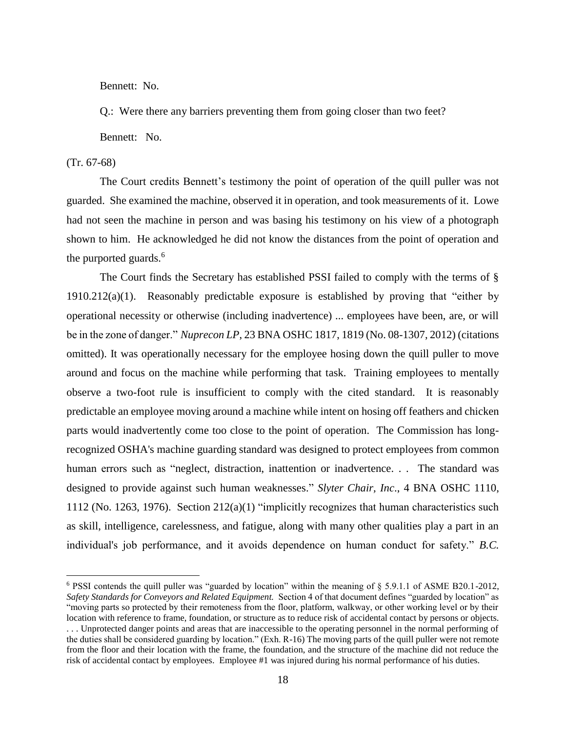Bennett: No.

Q.: Were there any barriers preventing them from going closer than two feet?

Bennett: No.

### (Tr. 67-68)

 $\overline{a}$ 

The Court credits Bennett's testimony the point of operation of the quill puller was not guarded. She examined the machine, observed it in operation, and took measurements of it. Lowe had not seen the machine in person and was basing his testimony on his view of a photograph shown to him. He acknowledged he did not know the distances from the point of operation and the purported guards.<sup>6</sup>

The Court finds the Secretary has established PSSI failed to comply with the terms of § 1910.212(a)(1). Reasonably predictable exposure is established by proving that "either by operational necessity or otherwise (including inadvertence) ... employees have been, are, or will be in the zone of danger." *Nuprecon LP*, 23 BNA OSHC 1817, 1819 (No. 08-1307, 2012) (citations omitted). It was operationally necessary for the employee hosing down the quill puller to move around and focus on the machine while performing that task. Training employees to mentally observe a two-foot rule is insufficient to comply with the cited standard. It is reasonably predictable an employee moving around a machine while intent on hosing off feathers and chicken parts would inadvertently come too close to the point of operation. The Commission has longrecognized OSHA's machine guarding standard was designed to protect employees from common human errors such as "neglect, distraction, inattention or inadvertence. . . The standard was designed to provide against such human weaknesses." *Slyter Chair, Inc*., 4 BNA OSHC 1110, 1112 (No. 1263, 1976). Section 212(a)(1) "implicitly recognizes that human characteristics such as skill, intelligence, carelessness, and fatigue, along with many other qualities play a part in an individual's job performance, and it avoids dependence on human conduct for safety." *B.C.* 

<sup>6</sup> PSSI contends the quill puller was "guarded by location" within the meaning of § 5.9.1.1 of ASME B20.1-2012, *Safety Standards for Conveyors and Related Equipment.* Section 4 of that document defines "guarded by location" as "moving parts so protected by their remoteness from the floor, platform, walkway, or other working level or by their location with reference to frame, foundation, or structure as to reduce risk of accidental contact by persons or objects. . . . Unprotected danger points and areas that are inaccessible to the operating personnel in the normal performing of the duties shall be considered guarding by location." (Exh. R-16) The moving parts of the quill puller were not remote from the floor and their location with the frame, the foundation, and the structure of the machine did not reduce the risk of accidental contact by employees. Employee #1 was injured during his normal performance of his duties.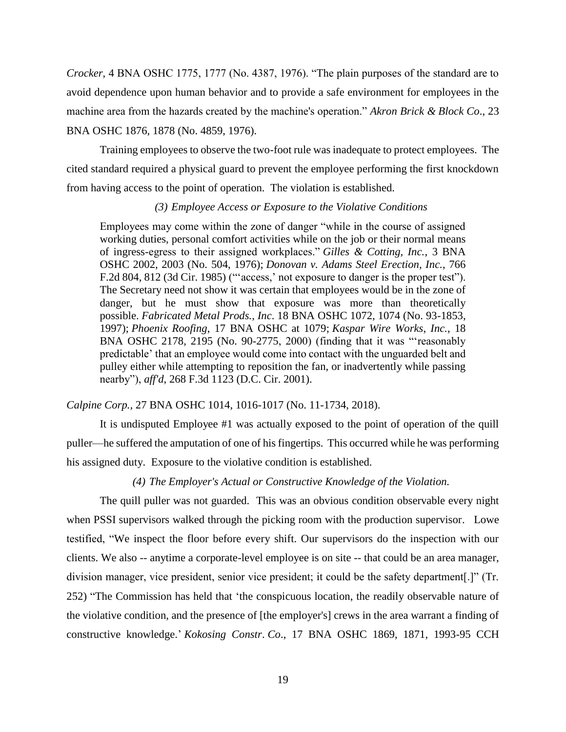*Crocker*, 4 BNA OSHC 1775, 1777 (No. 4387, 1976). "The plain purposes of the standard are to avoid dependence upon human behavior and to provide a safe environment for employees in the machine area from the hazards created by the machine's operation." *Akron Brick & Block Co*., 23 BNA OSHC 1876, 1878 (No. 4859, 1976).

Training employees to observe the two-foot rule was inadequate to protect employees. The cited standard required a physical guard to prevent the employee performing the first knockdown from having access to the point of operation. The violation is established.

#### *(3) Employee Access or Exposure to the Violative Conditions*

Employees may come within the zone of danger "while in the course of assigned working duties, personal comfort activities while on the job or their normal means of ingress-egress to their assigned workplaces." *[Gilles & Cotting, Inc.](https://1.next.westlaw.com/Link/Document/FullText?findType=Y&serNum=1976160848&pubNum=0003227&originatingDoc=Iae4767bf3f9211e8bbbcd57aa014637b&refType=CA&fi=co_pp_sp_3227_2003&originationContext=document&transitionType=DocumentItem&contextData=(sc.Search)#co_pp_sp_3227_2003)*, 3 BNA [OSHC 2002, 2003 \(No. 504, 1976\);](https://1.next.westlaw.com/Link/Document/FullText?findType=Y&serNum=1976160848&pubNum=0003227&originatingDoc=Iae4767bf3f9211e8bbbcd57aa014637b&refType=CA&fi=co_pp_sp_3227_2003&originationContext=document&transitionType=DocumentItem&contextData=(sc.Search)#co_pp_sp_3227_2003) *[Donovan v. Adams Steel Erection, Inc.](https://1.next.westlaw.com/Link/Document/FullText?findType=Y&serNum=1985134206&pubNum=0000350&originatingDoc=Iae4767bf3f9211e8bbbcd57aa014637b&refType=RP&fi=co_pp_sp_350_812&originationContext=document&transitionType=DocumentItem&contextData=(sc.Search)#co_pp_sp_350_812)*, 766 [F.2d 804, 812 \(3d Cir. 1985\)](https://1.next.westlaw.com/Link/Document/FullText?findType=Y&serNum=1985134206&pubNum=0000350&originatingDoc=Iae4767bf3f9211e8bbbcd57aa014637b&refType=RP&fi=co_pp_sp_350_812&originationContext=document&transitionType=DocumentItem&contextData=(sc.Search)#co_pp_sp_350_812) ("'access,' not exposure to danger is the proper test"). The Secretary need not show it was certain that employees would be in the zone of danger, but he must show that exposure was more than theoretically possible. *Fabricated Metal Prods., Inc*[. 18 BNA OSHC 1072, 1074 \(No. 93-1853,](https://1.next.westlaw.com/Link/Document/FullText?findType=Y&serNum=1997252799&pubNum=0003227&originatingDoc=Iae4767bf3f9211e8bbbcd57aa014637b&refType=CA&fi=co_pp_sp_3227_1074&originationContext=document&transitionType=DocumentItem&contextData=(sc.Search)#co_pp_sp_3227_1074) 1997); *Phoenix Roofing*[, 17 BNA OSHC at 1079;](https://1.next.westlaw.com/Link/Document/FullText?findType=Y&serNum=1995533457&pubNum=0003227&originatingDoc=Iae4767bf3f9211e8bbbcd57aa014637b&refType=CA&fi=co_pp_sp_3227_1079&originationContext=document&transitionType=DocumentItem&contextData=(sc.Search)#co_pp_sp_3227_1079) *[Kaspar Wire Works, Inc.](https://1.next.westlaw.com/Link/Document/FullText?findType=Y&serNum=2000569046&pubNum=0003227&originatingDoc=Iae4767bf3f9211e8bbbcd57aa014637b&refType=CA&fi=co_pp_sp_3227_2195&originationContext=document&transitionType=DocumentItem&contextData=(sc.Search)#co_pp_sp_3227_2195)*, 18 [BNA OSHC 2178, 2195 \(No. 90-2775,](https://1.next.westlaw.com/Link/Document/FullText?findType=Y&serNum=2000569046&pubNum=0003227&originatingDoc=Iae4767bf3f9211e8bbbcd57aa014637b&refType=CA&fi=co_pp_sp_3227_2195&originationContext=document&transitionType=DocumentItem&contextData=(sc.Search)#co_pp_sp_3227_2195) 2000) (finding that it was "'reasonably predictable' that an employee would come into contact with the unguarded belt and pulley either while attempting to reposition the fan, or inadvertently while passing nearby"), *aff'd*, [268 F.3d 1123 \(D.C. Cir. 2001\).](https://1.next.westlaw.com/Link/Document/FullText?findType=Y&serNum=2001914327&pubNum=0000506&originatingDoc=Iae4767bf3f9211e8bbbcd57aa014637b&refType=RP&originationContext=document&transitionType=DocumentItem&contextData=(sc.Search))

*Calpine Corp.,* 27 BNA OSHC 1014, 1016-1017 (No. 11-1734, 2018).

It is undisputed Employee #1 was actually exposed to the point of operation of the quill puller—he suffered the amputation of one of his fingertips. This occurred while he was performing his assigned duty. Exposure to the violative condition is established.

## *(4) The Employer's Actual or Constructive Knowledge of the Violation.*

The quill puller was not guarded. This was an obvious condition observable every night when PSSI supervisors walked through the picking room with the production supervisor. Lowe testified, "We inspect the floor before every shift. Our supervisors do the inspection with our clients. We also -- anytime a corporate-level employee is on site -- that could be an area manager, division manager, vice president, senior vice president; it could be the safety department[.]" (Tr. 252) "The Commission has held that 'the conspicuous location, the readily observable nature of the violative condition, and the presence of [the employer's] crews in the area warrant a finding of constructive knowledge.' *Kokosing Constr*. *Co*., 17 BNA OSHC 1869, 1871, 1993-95 CCH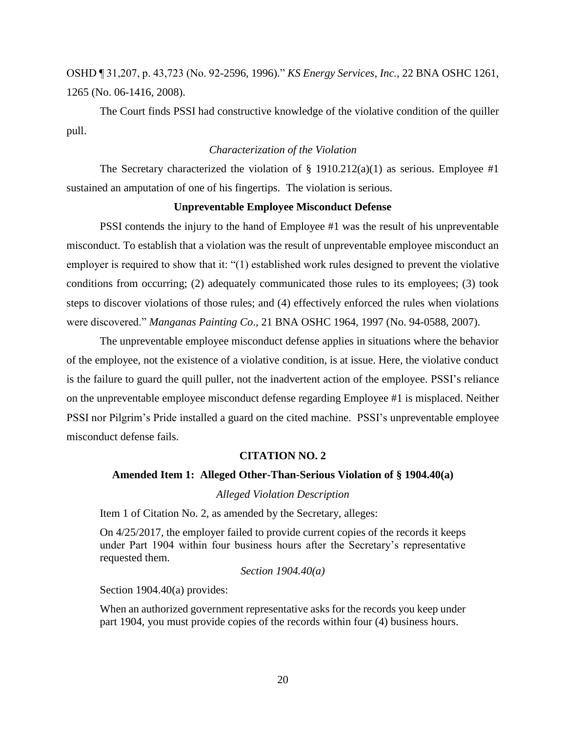OSHD ¶ 31,207, p. 43,723 (No. 92-2596, 1996)." *KS Energy Services, Inc.,* 22 BNA OSHC 1261, 1265 (No. 06-1416, 2008).

The Court finds PSSI had constructive knowledge of the violative condition of the quiller pull.

### *Characterization of the Violation*

The Secretary characterized the violation of  $\S$  1910.212(a)(1) as serious. Employee #1 sustained an amputation of one of his fingertips. The violation is serious.

#### **Unpreventable Employee Misconduct Defense**

PSSI contends the injury to the hand of Employee #1 was the result of his unpreventable misconduct. To establish that a violation was the result of unpreventable employee misconduct an employer is required to show that it: "(1) established work rules designed to prevent the violative conditions from occurring; (2) adequately communicated those rules to its employees; (3) took steps to discover violations of those rules; and (4) effectively enforced the rules when violations were discovered." *Manganas Painting Co*., 21 BNA OSHC 1964, 1997 (No. 94-0588, 2007).

The unpreventable employee misconduct defense applies in situations where the behavior of the employee, not the existence of a violative condition, is at issue. Here, the violative conduct is the failure to guard the quill puller, not the inadvertent action of the employee. PSSI's reliance on the unpreventable employee misconduct defense regarding Employee #1 is misplaced. Neither PSSI nor Pilgrim's Pride installed a guard on the cited machine. PSSI's unpreventable employee misconduct defense fails.

#### **CITATION NO. 2**

### **Amended Item 1: Alleged Other-Than-Serious Violation of § 1904.40(a)**

*Alleged Violation Description*

Item 1 of Citation No. 2, as amended by the Secretary, alleges:

On 4/25/2017, the employer failed to provide current copies of the records it keeps under Part 1904 within four business hours after the Secretary's representative requested them.

*Section 1904.40(a)*

Section 1904.40(a) provides:

When an authorized government representative asks for the records you keep under part 1904, you must provide copies of the records within four (4) business hours.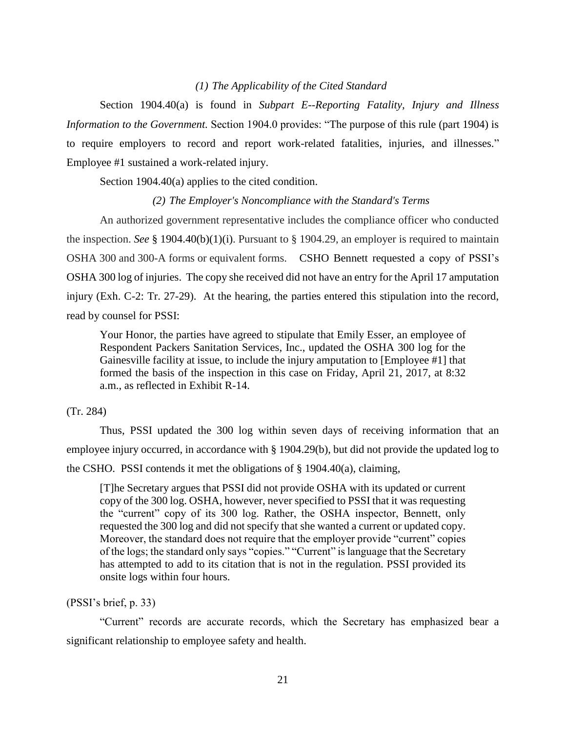# *(1) The Applicability of the Cited Standard*

Section 1904.40(a) is found in *Subpart E--Reporting Fatality, Injury and Illness Information to the Government.* Section 1904.0 provides: "The purpose of this rule (part 1904) is to require employers to record and report work-related fatalities, injuries, and illnesses." Employee #1 sustained a work-related injury.

Section 1904.40(a) applies to the cited condition.

### *(2) The Employer's Noncompliance with the Standard's Terms*

An authorized government representative includes the compliance officer who conducted the inspection. *See* § [1904.40\(b\)\(1\)\(i\).](https://1.next.westlaw.com/Link/Document/FullText?findType=L&pubNum=1000547&cite=29CFRS1904.40&originatingDoc=Iec8e1f72fa3811d9bf60c1d57ebc853e&refType=RB&originationContext=document&transitionType=DocumentItem&contextData=(sc.Search)#co_pp_3fed000053a85) Pursuant to § 1904.29, an employer is required to maintain OSHA 300 and 300-A forms or equivalent forms. CSHO Bennett requested a copy of PSSI's OSHA 300 log of injuries. The copy she received did not have an entry for the April 17 amputation injury (Exh. C-2: Tr. 27-29). At the hearing, the parties entered this stipulation into the record, read by counsel for PSSI:

Your Honor, the parties have agreed to stipulate that Emily Esser, an employee of Respondent Packers Sanitation Services, Inc., updated the OSHA 300 log for the Gainesville facility at issue, to include the injury amputation to [Employee #1] that formed the basis of the inspection in this case on Friday, April 21, 2017, at 8:32 a.m., as reflected in Exhibit R-14.

### (Tr. 284)

Thus, PSSI updated the 300 log within seven days of receiving information that an employee injury occurred, in accordance with § 1904.29(b), but did not provide the updated log to the CSHO. PSSI contends it met the obligations of § 1904.40(a), claiming,

[T]he Secretary argues that PSSI did not provide OSHA with its updated or current copy of the 300 log. OSHA, however, never specified to PSSI that it was requesting the "current" copy of its 300 log. Rather, the OSHA inspector, Bennett, only requested the 300 log and did not specify that she wanted a current or updated copy. Moreover, the standard does not require that the employer provide "current" copies of the logs; the standard only says "copies." "Current" is language that the Secretary has attempted to add to its citation that is not in the regulation. PSSI provided its onsite logs within four hours.

(PSSI's brief, p. 33)

"Current" records are accurate records, which the Secretary has emphasized bear a significant relationship to employee safety and health.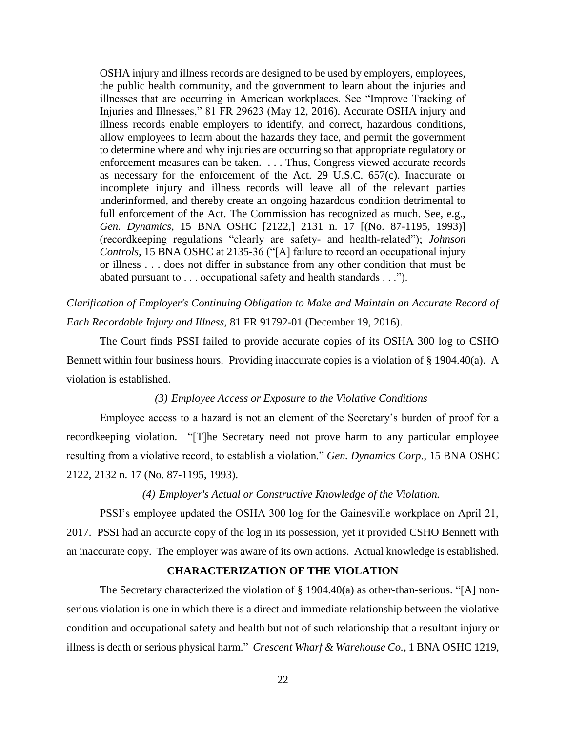OSHA injury and illness records are designed to be used by employers, employees, the public health community, and the government to learn about the injuries and illnesses that are occurring in American workplaces. See "Improve Tracking of Injuries and Illnesses," 81 FR 29623 (May 12, 2016). Accurate OSHA injury and illness records enable employers to identify, and correct, hazardous conditions, allow employees to learn about the hazards they face, and permit the government to determine where and why injuries are occurring so that appropriate regulatory or enforcement measures can be taken. . . . Thus, Congress viewed accurate records as necessary for the enforcement of the Act. 29 U.S.C. 657(c). Inaccurate or incomplete injury and illness records will leave all of the relevant parties underinformed, and thereby create an ongoing hazardous condition detrimental to full enforcement of the Act. The Commission has recognized as much. See, e.g., *Gen. Dynamics*, 15 BNA OSHC [2122,] 2131 n. 17 [(No. 87-1195, 1993)] (recordkeeping regulations "clearly are safety- and health-related"); *Johnson Controls,* 15 BNA OSHC at 2135-36 ("[A] failure to record an occupational injury or illness . . . does not differ in substance from any other condition that must be abated pursuant to . . . occupational safety and health standards . . .").

*Clarification of Employer's Continuing Obligation to Make and Maintain an Accurate Record of Each Recordable Injury and Illness*, 81 FR 91792-01 (December 19, 2016).

The Court finds PSSI failed to provide accurate copies of its OSHA 300 log to CSHO Bennett within four business hours. Providing inaccurate copies is a violation of § 1904.40(a). A violation is established.

### *(3) Employee Access or Exposure to the Violative Conditions*

Employee access to a hazard is not an element of the Secretary's burden of proof for a recordkeeping violation. "[T]he Secretary need not prove harm to any particular employee resulting from a violative record, to establish a violation." *[Gen. Dynamics Corp](https://1.next.westlaw.com/Link/Document/FullText?findType=Y&serNum=1993474610&pubNum=0003227&originatingDoc=I516ba56887d911e5a807ad48145ed9f1&refType=CA&fi=co_pp_sp_3227_2132&originationContext=document&transitionType=DocumentItem&contextData=(sc.Search)#co_pp_sp_3227_2132)*., 15 BNA OSHC [2122, 2132 n. 17 \(No. 87-1195,](https://1.next.westlaw.com/Link/Document/FullText?findType=Y&serNum=1993474610&pubNum=0003227&originatingDoc=I516ba56887d911e5a807ad48145ed9f1&refType=CA&fi=co_pp_sp_3227_2132&originationContext=document&transitionType=DocumentItem&contextData=(sc.Search)#co_pp_sp_3227_2132) 1993).

# *(4) Employer's Actual or Constructive Knowledge of the Violation.*

PSSI's employee updated the OSHA 300 log for the Gainesville workplace on April 21, 2017. PSSI had an accurate copy of the log in its possession, yet it provided CSHO Bennett with an inaccurate copy. The employer was aware of its own actions. Actual knowledge is established.

# **CHARACTERIZATION OF THE VIOLATION**

The Secretary characterized the violation of § 1904.40(a) as other-than-serious. "[A] nonserious violation is one in which there is a direct and immediate relationship between the violative condition and occupational safety and health but not of such relationship that a resultant injury or illness is death or serious physical harm." *Crescent Wharf & Warehouse Co.,* 1 BNA OSHC 1219,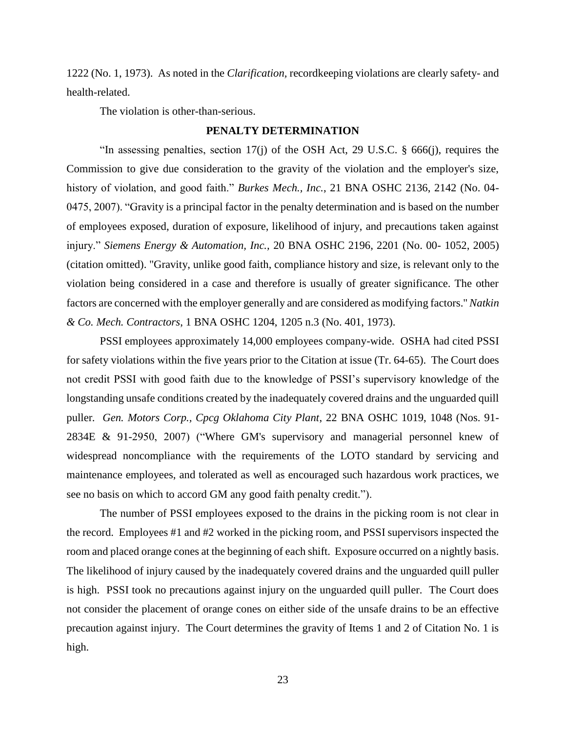1222 (No. 1, 1973). As noted in the *Clarification,* recordkeeping violations are clearly safety- and health-related.

The violation is other-than-serious.

#### **PENALTY DETERMINATION**

"In assessing penalties, section 17(j) of the OSH Act, 29 U.S.C. § 666(j), requires the Commission to give due consideration to the gravity of the violation and the employer's size, history of violation, and good faith." *Burkes Mech., Inc.*, 21 BNA OSHC 2136, 2142 (No. 04- 0475, 2007). "Gravity is a principal factor in the penalty determination and is based on the number of employees exposed, duration of exposure, likelihood of injury, and precautions taken against injury." *Siemens Energy & Automation, Inc.,* 20 BNA OSHC 2196, 2201 (No. 00- 1052, 2005) (citation omitted). "Gravity, unlike good faith, compliance history and size, is relevant only to the violation being considered in a case and therefore is usually of greater significance. The other factors are concerned with the employer generally and are considered as modifying factors.'' *Natkin & Co. Mech. Contractors*, 1 BNA OSHC 1204, 1205 n.3 (No. 401, 1973).

PSSI employees approximately 14,000 employees company-wide. OSHA had cited PSSI for safety violations within the five years prior to the Citation at issue (Tr. 64-65). The Court does not credit PSSI with good faith due to the knowledge of PSSI's supervisory knowledge of the longstanding unsafe conditions created by the inadequately covered drains and the unguarded quill puller*. Gen. Motors Corp., Cpcg Oklahoma City Plant*, 22 BNA OSHC 1019, 1048 (Nos. 91- 2834E & 91-2950, 2007) ("Where GM's supervisory and managerial personnel knew of widespread noncompliance with the requirements of the LOTO standard by servicing and maintenance employees, and tolerated as well as encouraged such hazardous work practices, we see no basis on which to accord GM any good faith penalty credit.").

The number of PSSI employees exposed to the drains in the picking room is not clear in the record. Employees #1 and #2 worked in the picking room, and PSSI supervisors inspected the room and placed orange cones at the beginning of each shift. Exposure occurred on a nightly basis. The likelihood of injury caused by the inadequately covered drains and the unguarded quill puller is high. PSSI took no precautions against injury on the unguarded quill puller. The Court does not consider the placement of orange cones on either side of the unsafe drains to be an effective precaution against injury. The Court determines the gravity of Items 1 and 2 of Citation No. 1 is high.